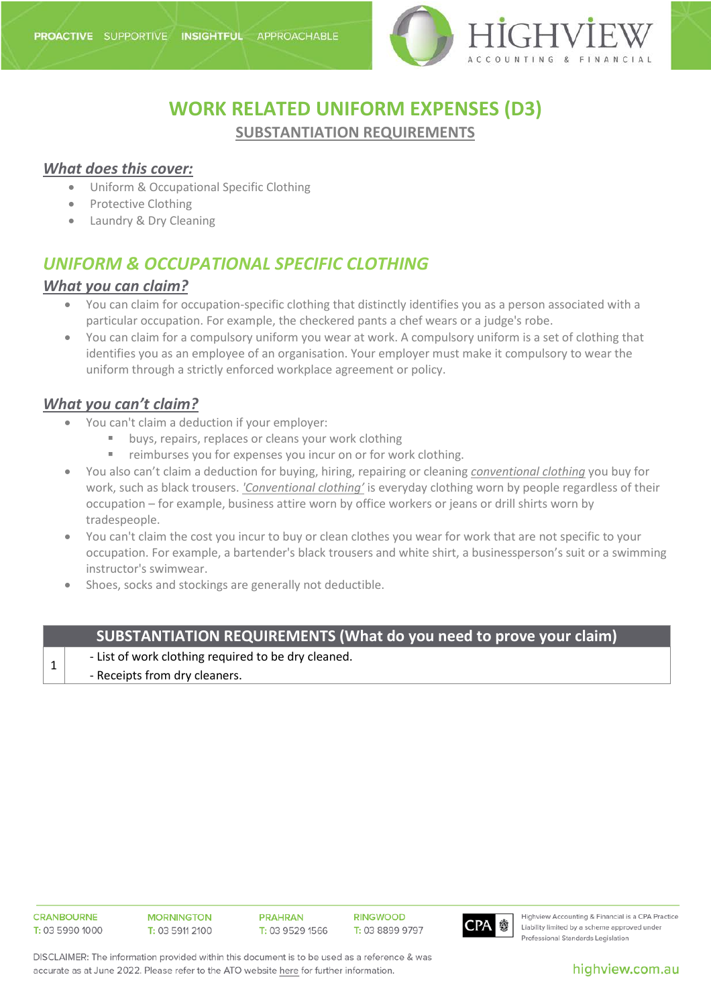

# **WORK RELATED UNIFORM EXPENSES (D3) SUBSTANTIATION REQUIREMENTS**

#### *What does this cover:*

- Uniform & Occupational Specific Clothing
- Protective Clothing
- Laundry & Dry Cleaning

# *UNIFORM & OCCUPATIONAL SPECIFIC CLOTHING*

#### *What you can claim?*

- You can claim for occupation-specific clothing that distinctly identifies you as a person associated with a particular occupation. For example, the checkered pants a chef wears or a judge's robe.
- You can claim for a compulsory uniform you wear at work. A compulsory uniform is a set of clothing that identifies you as an employee of an organisation. Your employer must make it compulsory to wear the uniform through a strictly enforced workplace agreement or policy.

### *What you can't claim?*

- You can't claim a deduction if your employer:
	- buys, repairs, replaces or cleans your work clothing
	- reimburses you for expenses you incur on or for work clothing.
- You also can't claim a deduction for buying, hiring, repairing or cleaning *conventional clothing* you buy for work, such as black trousers. *'Conventional clothing'* is everyday clothing worn by people regardless of their occupation – for example, business attire worn by office workers or jeans or drill shirts worn by tradespeople.
- You can't claim the cost you incur to buy or clean clothes you wear for work that are not specific to your occupation. For example, a bartender's black trousers and white shirt, a businessperson's suit or a swimming instructor's swimwear.
- Shoes, socks and stockings are generally not deductible.

## **SUBSTANTIATION REQUIREMENTS (What do you need to prove your claim)**

- $\begin{array}{c|c} 1 & -$  List of work clothing required to be dry cleaned.
	- Receipts from dry cleaners.

**CRANBOURNE**  $T: 0359901000$  **MORNINGTON**  $T: 0359112100$ 

**PRAHRAN** T: 03 9529 1566 **RINGWOOD** T: 03 8899 9797



Highview Accounting & Financial is a CPA Practice Liability limited by a scheme approved under Professional Standards Legislation

DISCLAIMER: The information provided within this document is to be used as a reference & was accurate as at June 2022. Please refer to the ATO website here for further information.

highview.com.au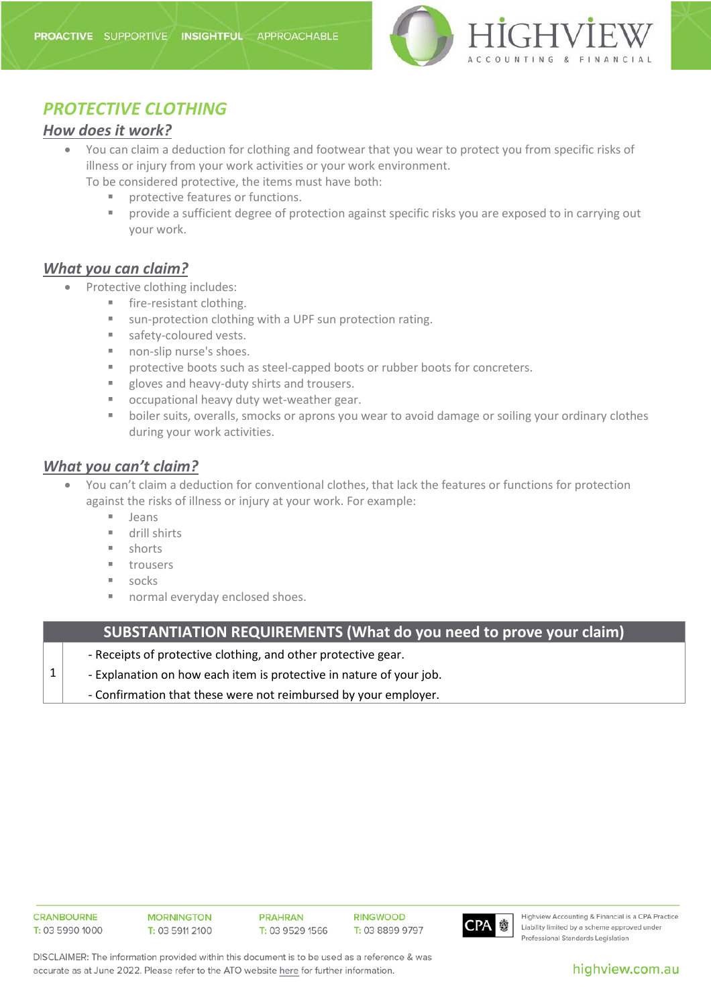

# *PROTECTIVE CLOTHING*

### *How does it work?*

- You can claim a deduction for clothing and footwear that you wear to protect you from specific risks of illness or injury from your work activities or your work environment. To be considered protective, the items must have both:
	- **PEDIETE:** protective features or functions.
	- provide a sufficient degree of protection against specific risks you are exposed to in carrying out your work.

### *What you can claim?*

- Protective clothing includes:
	- **fire-resistant clothing.**
	- sun-protection clothing with a UPF sun protection rating.
	- safety-coloured vests.
	- non-slip nurse's shoes.
	- **PEDEDED FOOTS SUCH AS STEEL-CAPPED BOOTS OF TUBBER DOOTS for concreters.**
	- **gloves and heavy-duty shirts and trousers.**
	- **EXECO** occupational heavy duty wet-weather gear.
	- **boiler suits, overalls, smocks or aprons you wear to avoid damage or soiling your ordinary clothes** during your work activities.

### *What you can't claim?*

- You can't claim a deduction for conventional clothes, that lack the features or functions for protection against the risks of illness or injury at your work. For example:
	- **Jeans**
	- **drill shirts**
	- **shorts**
	- **u** trousers
	- socks
	- normal everyday enclosed shoes.

**SUBSTANTIATION REQUIREMENTS (What do you need to prove your claim)**

- Receipts of protective clothing, and other protective gear.
- Explanation on how each item is protective in nature of your job.

- Confirmation that these were not reimbursed by your employer.

1



Highview Accounting & Financial is a CPA Practice Liability limited by a scheme approved under Professional Standards Legislation

DISCLAIMER: The information provided within this document is to be used as a reference & was accurate as at June 2022. Please refer to the ATO website here for further information.